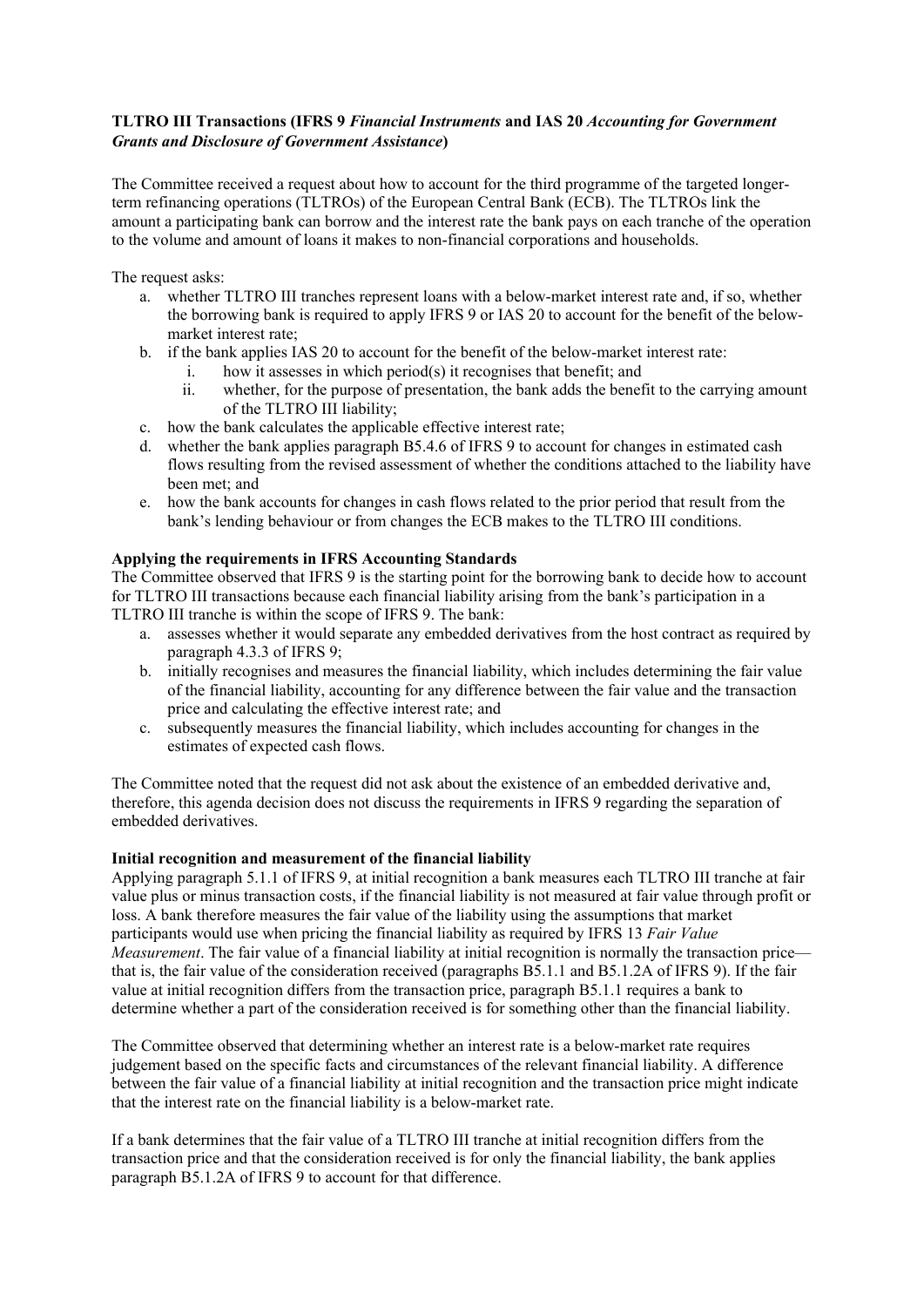## **TLTRO III Transactions (IFRS 9** *Financial Instruments* **and IAS 20** *Accounting for Government Grants and Disclosure of Government Assistance***)**

The Committee received a request about how to account for the third programme of the targeted longerterm refinancing operations (TLTROs) of the European Central Bank (ECB). The TLTROs link the amount a participating bank can borrow and the interest rate the bank pays on each tranche of the operation to the volume and amount of loans it makes to non-financial corporations and households.

The request asks:

- a. whether TLTRO III tranches represent loans with a below-market interest rate and, if so, whether the borrowing bank is required to apply IFRS 9 or IAS 20 to account for the benefit of the belowmarket interest rate;
- b. if the bank applies IAS 20 to account for the benefit of the below-market interest rate:
	- i. how it assesses in which period(s) it recognises that benefit; and
		- ii. whether, for the purpose of presentation, the bank adds the benefit to the carrying amount of the TLTRO III liability;
- c. how the bank calculates the applicable effective interest rate;
- d. whether the bank applies paragraph B5.4.6 of IFRS 9 to account for changes in estimated cash flows resulting from the revised assessment of whether the conditions attached to the liability have been met; and
- e. how the bank accounts for changes in cash flows related to the prior period that result from the bank's lending behaviour or from changes the ECB makes to the TLTRO III conditions.

## **Applying the requirements in IFRS Accounting Standards**

The Committee observed that IFRS 9 is the starting point for the borrowing bank to decide how to account for TLTRO III transactions because each financial liability arising from the bank's participation in a TLTRO III tranche is within the scope of IFRS 9. The bank:

- a. assesses whether it would separate any embedded derivatives from the host contract as required by paragraph 4.3.3 of IFRS 9;
- b. initially recognises and measures the financial liability, which includes determining the fair value of the financial liability, accounting for any difference between the fair value and the transaction price and calculating the effective interest rate; and
- c. subsequently measures the financial liability, which includes accounting for changes in the estimates of expected cash flows.

The Committee noted that the request did not ask about the existence of an embedded derivative and, therefore, this agenda decision does not discuss the requirements in IFRS 9 regarding the separation of embedded derivatives.

## **Initial recognition and measurement of the financial liability**

Applying paragraph 5.1.1 of IFRS 9, at initial recognition a bank measures each TLTRO III tranche at fair value plus or minus transaction costs, if the financial liability is not measured at fair value through profit or loss. A bank therefore measures the fair value of the liability using the assumptions that market participants would use when pricing the financial liability as required by IFRS 13 *Fair Value Measurement*. The fair value of a financial liability at initial recognition is normally the transaction price that is, the fair value of the consideration received (paragraphs B5.1.1 and B5.1.2A of IFRS 9). If the fair value at initial recognition differs from the transaction price, paragraph B5.1.1 requires a bank to determine whether a part of the consideration received is for something other than the financial liability.

The Committee observed that determining whether an interest rate is a below-market rate requires judgement based on the specific facts and circumstances of the relevant financial liability. A difference between the fair value of a financial liability at initial recognition and the transaction price might indicate that the interest rate on the financial liability is a below-market rate.

If a bank determines that the fair value of a TLTRO III tranche at initial recognition differs from the transaction price and that the consideration received is for only the financial liability, the bank applies paragraph B5.1.2A of IFRS 9 to account for that difference.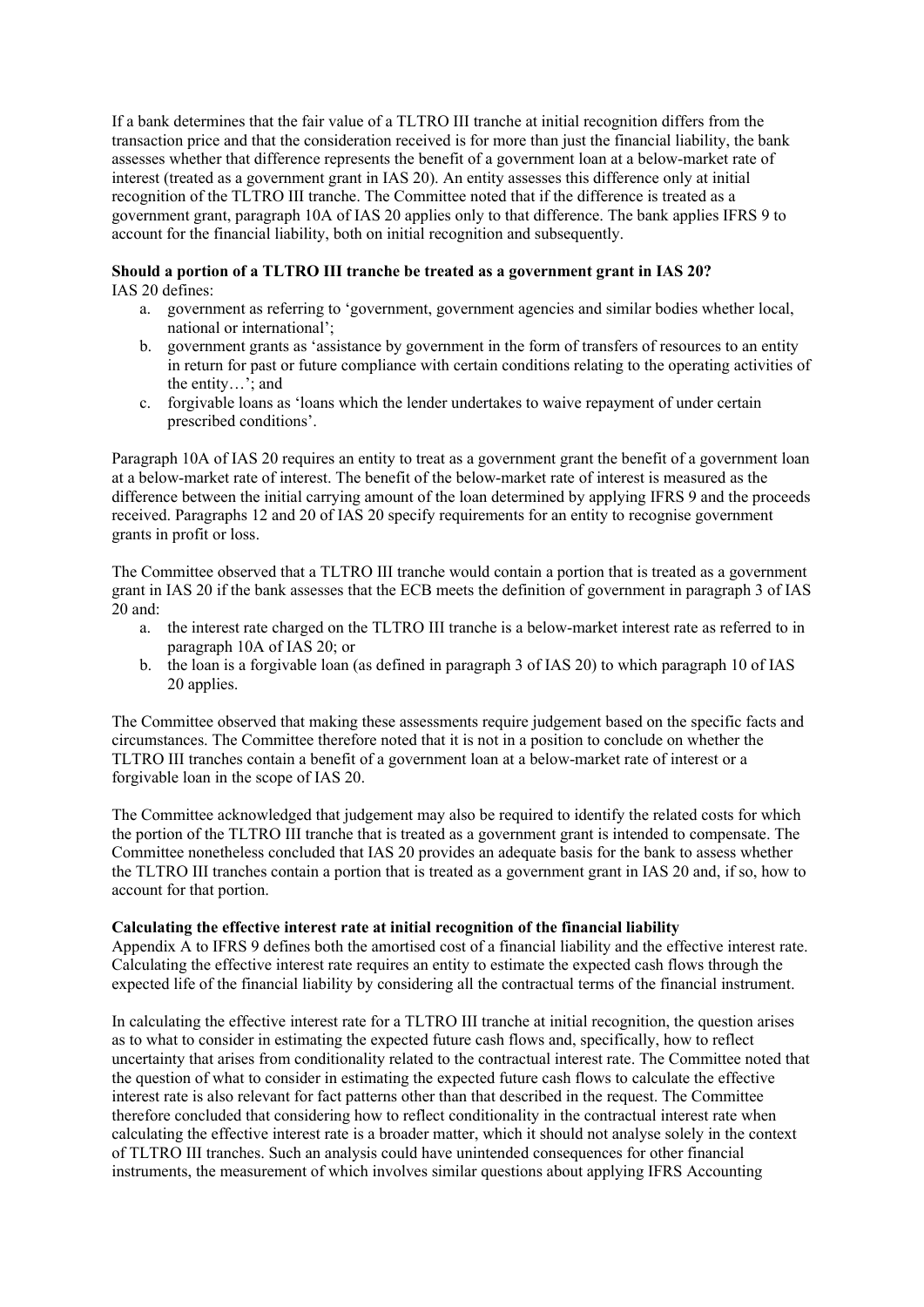If a bank determines that the fair value of a TLTRO III tranche at initial recognition differs from the transaction price and that the consideration received is for more than just the financial liability, the bank assesses whether that difference represents the benefit of a government loan at a below-market rate of interest (treated as a government grant in IAS 20). An entity assesses this difference only at initial recognition of the TLTRO III tranche. The Committee noted that if the difference is treated as a government grant, paragraph 10A of IAS 20 applies only to that difference. The bank applies IFRS 9 to account for the financial liability, both on initial recognition and subsequently.

# **Should a portion of a TLTRO III tranche be treated as a government grant in IAS 20?**

IAS 20 defines:

- a. government as referring to 'government, government agencies and similar bodies whether local, national or international';
- b. government grants as 'assistance by government in the form of transfers of resources to an entity in return for past or future compliance with certain conditions relating to the operating activities of the entity…'; and
- c. forgivable loans as 'loans which the lender undertakes to waive repayment of under certain prescribed conditions'.

Paragraph 10A of IAS 20 requires an entity to treat as a government grant the benefit of a government loan at a below-market rate of interest. The benefit of the below-market rate of interest is measured as the difference between the initial carrying amount of the loan determined by applying IFRS 9 and the proceeds received. Paragraphs 12 and 20 of IAS 20 specify requirements for an entity to recognise government grants in profit or loss.

The Committee observed that a TLTRO III tranche would contain a portion that is treated as a government grant in IAS 20 if the bank assesses that the ECB meets the definition of government in paragraph 3 of IAS 20 and:

- a. the interest rate charged on the TLTRO III tranche is a below-market interest rate as referred to in paragraph 10A of IAS 20; or
- b. the loan is a forgivable loan (as defined in paragraph 3 of IAS 20) to which paragraph 10 of IAS 20 applies.

The Committee observed that making these assessments require judgement based on the specific facts and circumstances. The Committee therefore noted that it is not in a position to conclude on whether the TLTRO III tranches contain a benefit of a government loan at a below-market rate of interest or a forgivable loan in the scope of IAS 20.

The Committee acknowledged that judgement may also be required to identify the related costs for which the portion of the TLTRO III tranche that is treated as a government grant is intended to compensate. The Committee nonetheless concluded that IAS 20 provides an adequate basis for the bank to assess whether the TLTRO III tranches contain a portion that is treated as a government grant in IAS 20 and, if so, how to account for that portion.

## **Calculating the effective interest rate at initial recognition of the financial liability**

Appendix A to IFRS 9 defines both the amortised cost of a financial liability and the effective interest rate. Calculating the effective interest rate requires an entity to estimate the expected cash flows through the expected life of the financial liability by considering all the contractual terms of the financial instrument.

In calculating the effective interest rate for a TLTRO III tranche at initial recognition, the question arises as to what to consider in estimating the expected future cash flows and, specifically, how to reflect uncertainty that arises from conditionality related to the contractual interest rate. The Committee noted that the question of what to consider in estimating the expected future cash flows to calculate the effective interest rate is also relevant for fact patterns other than that described in the request. The Committee therefore concluded that considering how to reflect conditionality in the contractual interest rate when calculating the effective interest rate is a broader matter, which it should not analyse solely in the context of TLTRO III tranches. Such an analysis could have unintended consequences for other financial instruments, the measurement of which involves similar questions about applying IFRS Accounting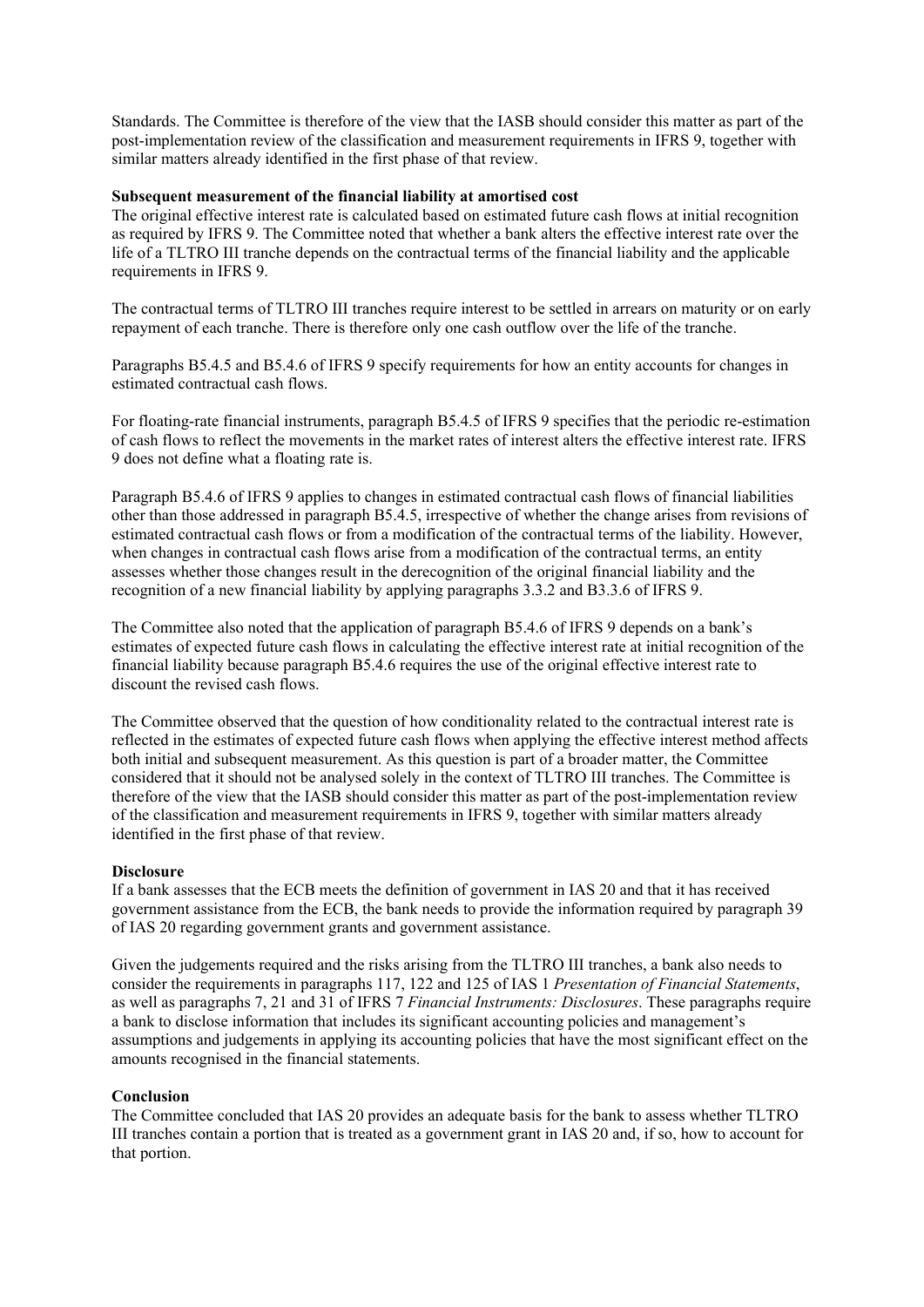Standards. The Committee is therefore of the view that the IASB should consider this matter as part of the post-implementation review of the classification and measurement requirements in IFRS 9, together with similar matters already identified in the first phase of that review.

#### **Subsequent measurement of the financial liability at amortised cost**

The original effective interest rate is calculated based on estimated future cash flows at initial recognition as required by IFRS 9. The Committee noted that whether a bank alters the effective interest rate over the life of a TLTRO III tranche depends on the contractual terms of the financial liability and the applicable requirements in IFRS 9.

The contractual terms of TLTRO III tranches require interest to be settled in arrears on maturity or on early repayment of each tranche. There is therefore only one cash outflow over the life of the tranche.

Paragraphs B5.4.5 and B5.4.6 of IFRS 9 specify requirements for how an entity accounts for changes in estimated contractual cash flows.

For floating-rate financial instruments, paragraph B5.4.5 of IFRS 9 specifies that the periodic re-estimation of cash flows to reflect the movements in the market rates of interest alters the effective interest rate. IFRS 9 does not define what a floating rate is.

Paragraph B5.4.6 of IFRS 9 applies to changes in estimated contractual cash flows of financial liabilities other than those addressed in paragraph B5.4.5, irrespective of whether the change arises from revisions of estimated contractual cash flows or from a modification of the contractual terms of the liability. However, when changes in contractual cash flows arise from a modification of the contractual terms, an entity assesses whether those changes result in the derecognition of the original financial liability and the recognition of a new financial liability by applying paragraphs 3.3.2 and B3.3.6 of IFRS 9.

The Committee also noted that the application of paragraph B5.4.6 of IFRS 9 depends on a bank's estimates of expected future cash flows in calculating the effective interest rate at initial recognition of the financial liability because paragraph B5.4.6 requires the use of the original effective interest rate to discount the revised cash flows.

The Committee observed that the question of how conditionality related to the contractual interest rate is reflected in the estimates of expected future cash flows when applying the effective interest method affects both initial and subsequent measurement. As this question is part of a broader matter, the Committee considered that it should not be analysed solely in the context of TLTRO III tranches. The Committee is therefore of the view that the IASB should consider this matter as part of the post-implementation review of the classification and measurement requirements in IFRS 9, together with similar matters already identified in the first phase of that review.

#### **Disclosure**

If a bank assesses that the ECB meets the definition of government in IAS 20 and that it has received government assistance from the ECB, the bank needs to provide the information required by paragraph 39 of IAS 20 regarding government grants and government assistance.

Given the judgements required and the risks arising from the TLTRO III tranches, a bank also needs to consider the requirements in paragraphs 117, 122 and 125 of IAS 1 *Presentation of Financial Statements*, as well as paragraphs 7, 21 and 31 of IFRS 7 *Financial Instruments: Disclosures*. These paragraphs require a bank to disclose information that includes its significant accounting policies and management's assumptions and judgements in applying its accounting policies that have the most significant effect on the amounts recognised in the financial statements.

#### **Conclusion**

The Committee concluded that IAS 20 provides an adequate basis for the bank to assess whether TLTRO III tranches contain a portion that is treated as a government grant in IAS 20 and, if so, how to account for that portion.